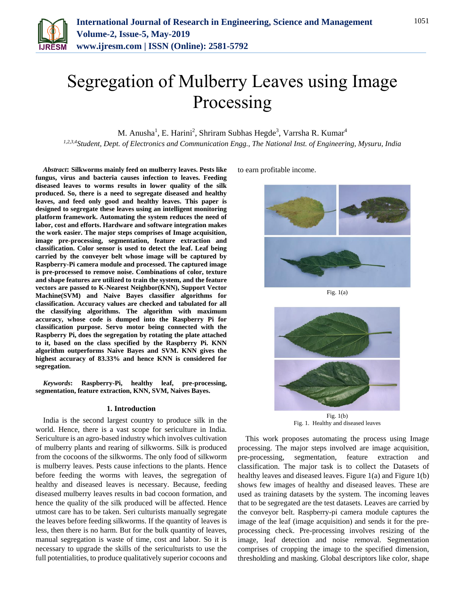

# Segregation of Mulberry Leaves using Image Processing

M. Anusha<sup>1</sup>, E. Harini<sup>2</sup>, Shriram Subhas Hegde<sup>3</sup>, Varrsha R. Kumar<sup>4</sup>

*1,2,3,4Student, Dept. of Electronics and Communication Engg., The National Inst. of Engineering, Mysuru, India*

*Abstract***: Silkworms mainly feed on mulberry leaves. Pests like fungus, virus and bacteria causes infection to leaves. Feeding diseased leaves to worms results in lower quality of the silk produced. So, there is a need to segregate diseased and healthy leaves, and feed only good and healthy leaves. This paper is designed to segregate these leaves using an intelligent monitoring platform framework. Automating the system reduces the need of labor, cost and efforts. Hardware and software integration makes the work easier. The major steps comprises of Image acquisition, image pre-processing, segmentation, feature extraction and classification. Color sensor is used to detect the leaf. Leaf being carried by the conveyer belt whose image will be captured by Raspberry-Pi camera module and processed. The captured image is pre-processed to remove noise. Combinations of color, texture and shape features are utilized to train the system, and the feature vectors are passed to K-Nearest Neighbor(KNN), Support Vector Machine(SVM) and Naive Bayes classifier algorithms for classification. Accuracy values are checked and tabulated for all the classifying algorithms. The algorithm with maximum accuracy, whose code is dumped into the Raspberry Pi for classification purpose. Servo motor being connected with the Raspberry Pi, does the segregation by rotating the plate attached to it, based on the class specified by the Raspberry Pi. KNN algorithm outperforms Naive Bayes and SVM. KNN gives the highest accuracy of 83.33% and hence KNN is considered for segregation.**

*Keywords***: Raspberry-Pi, healthy leaf, pre-processing, segmentation, feature extraction, KNN, SVM, Naives Bayes.**

# **1. Introduction**

India is the second largest country to produce silk in the world. Hence, there is a vast scope for sericulture in India. Sericulture is an agro-based industry which involves cultivation of mulberry plants and rearing of silkworms. Silk is produced from the cocoons of the silkworms. The only food of silkworm is mulberry leaves. Pests cause infections to the plants. Hence before feeding the worms with leaves, the segregation of healthy and diseased leaves is necessary. Because, feeding diseased mulberry leaves results in bad cocoon formation, and hence the quality of the silk produced will be affected. Hence utmost care has to be taken. Seri culturists manually segregate the leaves before feeding silkworms. If the quantity of leaves is less, then there is no harm. But for the bulk quantity of leaves, manual segregation is waste of time, cost and labor. So it is necessary to upgrade the skills of the sericulturists to use the full potentialities, to produce qualitatively superior cocoons and to earn profitable income.



Fig. 1(a)



Fig. 1. Healthy and diseased leaves

This work proposes automating the process using Image processing. The major steps involved are image acquisition, pre-processing, segmentation, feature extraction and classification. The major task is to collect the Datasets of healthy leaves and diseased leaves. Figure 1(a) and Figure 1(b) shows few images of healthy and diseased leaves. These are used as training datasets by the system. The incoming leaves that to be segregated are the test datasets. Leaves are carried by the conveyor belt. Raspberry-pi camera module captures the image of the leaf (image acquisition) and sends it for the preprocessing check. Pre-processing involves resizing of the image, leaf detection and noise removal. Segmentation comprises of cropping the image to the specified dimension, thresholding and masking. Global descriptors like color, shape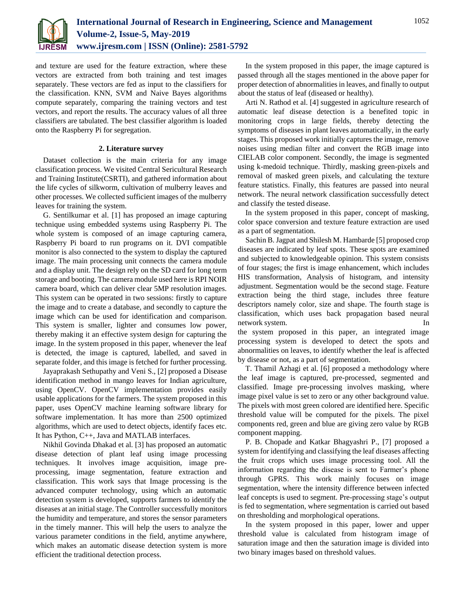

and texture are used for the feature extraction, where these vectors are extracted from both training and test images separately. These vectors are fed as input to the classifiers for the classification. KNN, SVM and Naive Bayes algorithms compute separately, comparing the training vectors and test vectors, and report the results. The accuracy values of all three classifiers are tabulated. The best classifier algorithm is loaded onto the Raspberry Pi for segregation.

# **2. Literature survey**

Dataset collection is the main criteria for any image classification process. We visited Central Sericultural Research and Training Institute(CSRTI), and gathered information about the life cycles of silkworm, cultivation of mulberry leaves and other processes. We collected sufficient images of the mulberry leaves for training the system.

G. Sentilkumar et al. [1] has proposed an image capturing technique using embedded systems using Raspberry Pi. The whole system is composed of an image capturing camera, Raspberry Pi board to run programs on it. DVI compatible monitor is also connected to the system to display the captured image. The main processing unit connects the camera module and a display unit. The design rely on the SD card for long term storage and booting. The camera module used here is RPI NOIR camera board, which can deliver clear 5MP resolution images. This system can be operated in two sessions: firstly to capture the image and to create a database, and secondly to capture the image which can be used for identification and comparison. This system is smaller, lighter and consumes low power, thereby making it an effective system design for capturing the image. In the system proposed in this paper, whenever the leaf is detected, the image is captured, labelled, and saved in separate folder, and this image is fetched for further processing.

Jayaprakash Sethupathy and Veni S., [2] proposed a Disease identification method in mango leaves for Indian agriculture, using OpenCV. OpenCV implementation provides easily usable applications for the farmers. The system proposed in this paper, uses OpenCV machine learning software library for software implementation. It has more than 2500 optimized algorithms, which are used to detect objects, identify faces etc. It has Python, C++, Java and MATLAB interfaces.

Nikhil Govinda Dhakad et al. [3] has proposed an automatic disease detection of plant leaf using image processing techniques. It involves image acquisition, image preprocessing, image segmentation, feature extraction and classification. This work says that Image processing is the advanced computer technology, using which an automatic detection system is developed, supports farmers to identify the diseases at an initial stage. The Controller successfully monitors the humidity and temperature, and stores the sensor parameters in the timely manner. This will help the users to analyze the various parameter conditions in the field, anytime anywhere, which makes an automatic disease detection system is more efficient the traditional detection process.

In the system proposed in this paper, the image captured is passed through all the stages mentioned in the above paper for proper detection of abnormalities in leaves, and finally to output about the status of leaf (diseased or healthy).

Arti N. Rathod et al. [4] suggested in agriculture research of automatic leaf disease detection is a benefited topic in monitoring crops in large fields, thereby detecting the symptoms of diseases in plant leaves automatically, in the early stages. This proposed work initially captures the image, remove noises using median filter and convert the RGB image into CIELAB color component. Secondly, the image is segmented using k-medoid technique. Thirdly, masking green-pixels and removal of masked green pixels, and calculating the texture feature statistics. Finally, this features are passed into neural network. The neural network classification successfully detect and classify the tested disease.

In the system proposed in this paper, concept of masking, color space conversion and texture feature extraction are used as a part of segmentation.

Sachin B. Jagpat and Shilesh M. Hambarde [5] proposed crop diseases are indicated by leaf spots. These spots are examined and subjected to knowledgeable opinion. This system consists of four stages; the first is image enhancement, which includes HIS transformation, Analysis of histogram, and intensity adjustment. Segmentation would be the second stage. Feature extraction being the third stage, includes three feature descriptors namely color, size and shape. The fourth stage is classification, which uses back propagation based neural network system. In

the system proposed in this paper, an integrated image processing system is developed to detect the spots and abnormalities on leaves, to identify whether the leaf is affected by disease or not, as a part of segmentation.

T. Thamil Azhagi et al. [6] proposed a methodology where the leaf image is captured, pre-processed, segmented and classified. Image pre-processing involves masking, where image pixel value is set to zero or any other background value. The pixels with most green colored are identified here. Specific threshold value will be computed for the pixels. The pixel components red, green and blue are giving zero value by RGB component mapping.

P. B. Chopade and Katkar Bhagyashri P., [7] proposed a system for identifying and classifying the leaf diseases affecting the fruit crops which uses image processing tool. All the information regarding the disease is sent to Farmer's phone through GPRS. This work mainly focuses on image segmentation, where the intensity difference between infected leaf concepts is used to segment. Pre-processing stage's output is fed to segmentation, where segmentation is carried out based on thresholding and morphological operations.

In the system proposed in this paper, lower and upper threshold value is calculated from histogram image of saturation image and then the saturation image is divided into two binary images based on threshold values.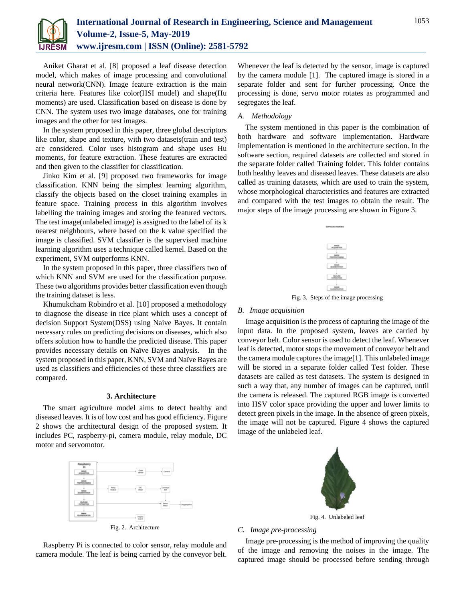

Aniket Gharat et al. [8] proposed a leaf disease detection model, which makes of image processing and convolutional neural network(CNN). Image feature extraction is the main criteria here. Features like color(HSI model) and shape(Hu moments) are used. Classification based on disease is done by CNN. The system uses two image databases, one for training images and the other for test images.

In the system proposed in this paper, three global descriptors like color, shape and texture, with two datasets(train and test) are considered. Color uses histogram and shape uses Hu moments, for feature extraction. These features are extracted and then given to the classifier for classification.

Jinko Kim et al. [9] proposed two frameworks for image classification. KNN being the simplest learning algorithm, classify the objects based on the closet training examples in feature space. Training process in this algorithm involves labelling the training images and storing the featured vectors. The test image(unlabeled image) is assigned to the label of its k nearest neighbours, where based on the k value specified the image is classified. SVM classifier is the supervised machine learning algorithm uses a technique called kernel. Based on the experiment, SVM outperforms KNN.

In the system proposed in this paper, three classifiers two of which KNN and SVM are used for the classification purpose. These two algorithms provides better classification even though the training dataset is less.

Khumukcham Robindro et al. [10] proposed a methodology to diagnose the disease in rice plant which uses a concept of decision Support System(DSS) using Naive Bayes. It contain necessary rules on predicting decisions on diseases, which also offers solution how to handle the predicted disease. This paper provides necessary details on Naïve Bayes analysis. In the system proposed in this paper, KNN, SVM and Naïve Bayes are used as classifiers and efficiencies of these three classifiers are compared.

#### **3. Architecture**

The smart agriculture model aims to detect healthy and diseased leaves. It is of low cost and has good efficiency. Figure 2 shows the architectural design of the proposed system. It includes PC, raspberry-pi, camera module, relay module, DC motor and servomotor.



Fig. 2. Architecture

Raspberry Pi is connected to color sensor, relay module and camera module. The leaf is being carried by the conveyor belt.

Whenever the leaf is detected by the sensor, image is captured by the camera module [1]. The captured image is stored in a separate folder and sent for further processing. Once the processing is done, servo motor rotates as programmed and segregates the leaf.

# *A. Methodology*

The system mentioned in this paper is the combination of both hardware and software implementation. Hardware implementation is mentioned in the architecture section. In the software section, required datasets are collected and stored in the separate folder called Training folder. This folder contains both healthy leaves and diseased leaves. These datasets are also called as training datasets, which are used to train the system, whose morphological characteristics and features are extracted and compared with the test images to obtain the result. The major steps of the image processing are shown in Figure 3.



Fig. 3. Steps of the image processing

#### *B. Image acquisition*

Image acquisition is the process of capturing the image of the input data. In the proposed system, leaves are carried by conveyor belt. Color sensor is used to detect the leaf. Whenever leaf is detected, motor stops the movement of conveyor belt and the camera module captures the image[1]. This unlabeled image will be stored in a separate folder called Test folder. These datasets are called as test datasets. The system is designed in such a way that, any number of images can be captured, until the camera is released. The captured RGB image is converted into HSV color space providing the upper and lower limits to detect green pixels in the image. In the absence of green pixels, the image will not be captured. Figure 4 shows the captured image of the unlabeled leaf.



Fig. 4. Unlabeled leaf

# *C. Image pre-processing*

Image pre-processing is the method of improving the quality of the image and removing the noises in the image. The captured image should be processed before sending through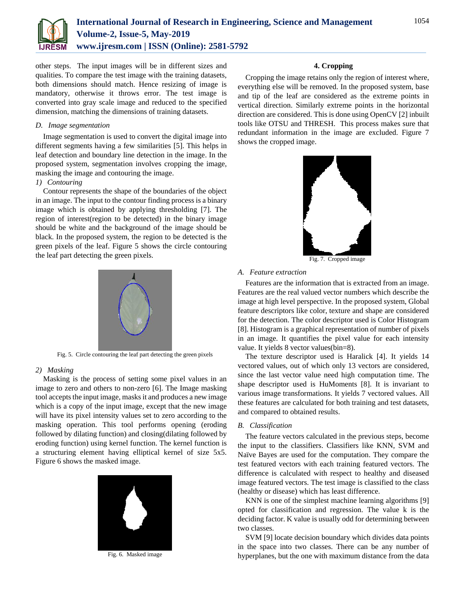

other steps. The input images will be in different sizes and qualities. To compare the test image with the training datasets, both dimensions should match. Hence resizing of image is mandatory, otherwise it throws error. The test image is converted into gray scale image and reduced to the specified dimension, matching the dimensions of training datasets.

# *D. Image segmentation*

Image segmentation is used to convert the digital image into different segments having a few similarities [5]. This helps in leaf detection and boundary line detection in the image. In the proposed system, segmentation involves cropping the image, masking the image and contouring the image.

# *1) Contouring*

Contour represents the shape of the boundaries of the object in an image. The input to the contour finding process is a binary image which is obtained by applying thresholding [7]. The region of interest(region to be detected) in the binary image should be white and the background of the image should be black. In the proposed system, the region to be detected is the green pixels of the leaf. Figure 5 shows the circle contouring the leaf part detecting the green pixels.



Fig. 5. Circle contouring the leaf part detecting the green pixels

# *2) Masking*

Masking is the process of setting some pixel values in an image to zero and others to non-zero [6]. The Image masking tool accepts the input image, masks it and produces a new image which is a copy of the input image, except that the new image will have its pixel intensity values set to zero according to the masking operation. This tool performs opening (eroding followed by dilating function) and closing(dilating followed by eroding function) using kernel function. The kernel function is a structuring element having elliptical kernel of size 5x5. Figure 6 shows the masked image.



Fig. 6. Masked image

# **4. Cropping**

Cropping the image retains only the region of interest where, everything else will be removed. In the proposed system, base and tip of the leaf are considered as the extreme points in vertical direction. Similarly extreme points in the horizontal direction are considered. This is done using OpenCV [2] inbuilt tools like OTSU and THRESH. This process makes sure that redundant information in the image are excluded. Figure 7 shows the cropped image.



Fig. 7. Cropped image

# *A. Feature extraction*

Features are the information that is extracted from an image. Features are the real valued vector numbers which describe the image at high level perspective. In the proposed system, Global feature descriptors like color, texture and shape are considered for the detection. The color descriptor used is Color Histogram [8]. Histogram is a graphical representation of number of pixels in an image. It quantifies the pixel value for each intensity value. It yields 8 vector values(bin=8).

The texture descriptor used is Haralick [4]. It yields 14 vectored values, out of which only 13 vectors are considered, since the last vector value need high computation time. The shape descriptor used is HuMoments [8]. It is invariant to various image transformations. It yields 7 vectored values. All these features are calculated for both training and test datasets, and compared to obtained results.

# *B. Classification*

The feature vectors calculated in the previous steps, become the input to the classifiers. Classifiers like KNN, SVM and Naïve Bayes are used for the computation. They compare the test featured vectors with each training featured vectors. The difference is calculated with respect to healthy and diseased image featured vectors. The test image is classified to the class (healthy or disease) which has least difference.

KNN is one of the simplest machine learning algorithms [9] opted for classification and regression. The value k is the deciding factor. K value is usually odd for determining between two classes.

SVM [9] locate decision boundary which divides data points in the space into two classes. There can be any number of hyperplanes, but the one with maximum distance from the data